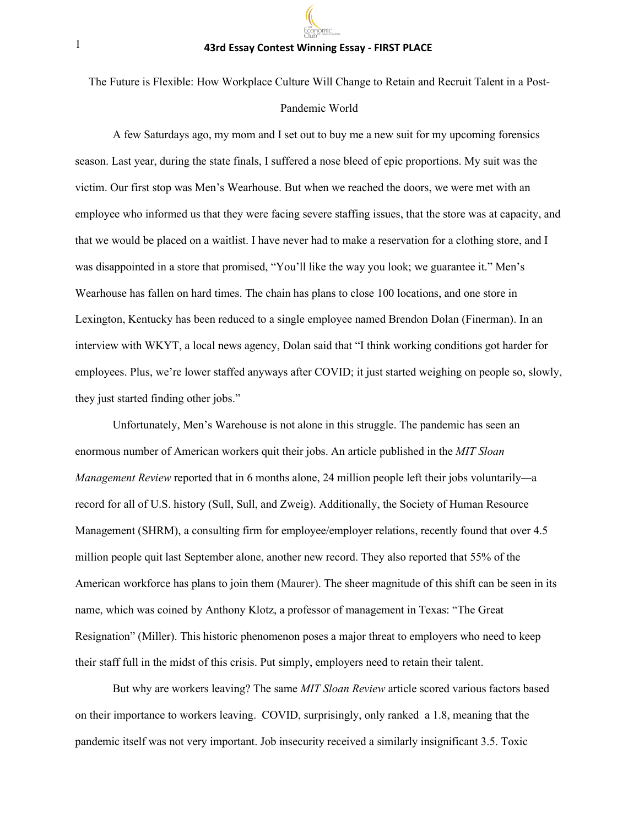#### **43rd Essay Contest Winning Essay - FIRST PLACE**

The Future is Flexible: How Workplace Culture Will Change to Retain and Recruit Talent in a Post-

## Pandemic World

A few Saturdays ago, my mom and I set out to buy me a new suit for my upcoming forensics season. Last year, during the state finals, I suffered a nose bleed of epic proportions. My suit was the victim. Our first stop was Men's Wearhouse. But when we reached the doors, we were met with an employee who informed us that they were facing severe staffing issues, that the store was at capacity, and that we would be placed on a waitlist. I have never had to make a reservation for a clothing store, and I was disappointed in a store that promised, "You'll like the way you look; we guarantee it." Men's Wearhouse has fallen on hard times. The chain has plans to close 100 locations, and one store in Lexington, Kentucky has been reduced to a single employee named Brendon Dolan (Finerman). In an interview with WKYT, a local news agency, Dolan said that "I think working conditions got harder for employees. Plus, we're lower staffed anyways after COVID; it just started weighing on people so, slowly, they just started finding other jobs."

Unfortunately, Men's Warehouse is not alone in this struggle. The pandemic has seen an enormous number of American workers quit their jobs. An article published in the *MIT Sloan Management Review* reported that in 6 months alone, 24 million people left their jobs voluntarily—a record for all of U.S. history (Sull, Sull, and Zweig). Additionally, the Society of Human Resource Management (SHRM), a consulting firm for employee/employer relations, recently found that over 4.5 million people quit last September alone, another new record. They also reported that 55% of the American workforce has plans to join them (Maurer). The sheer magnitude of this shift can be seen in its name, which was coined by Anthony Klotz, a professor of management in Texas: "The Great Resignation" (Miller). This historic phenomenon poses a major threat to employers who need to keep their staff full in the midst of this crisis. Put simply, employers need to retain their talent.

But why are workers leaving? The same *MIT Sloan Review* article scored various factors based on their importance to workers leaving. COVID, surprisingly, only ranked a 1.8, meaning that the pandemic itself was not very important. Job insecurity received a similarly insignificant 3.5. Toxic

1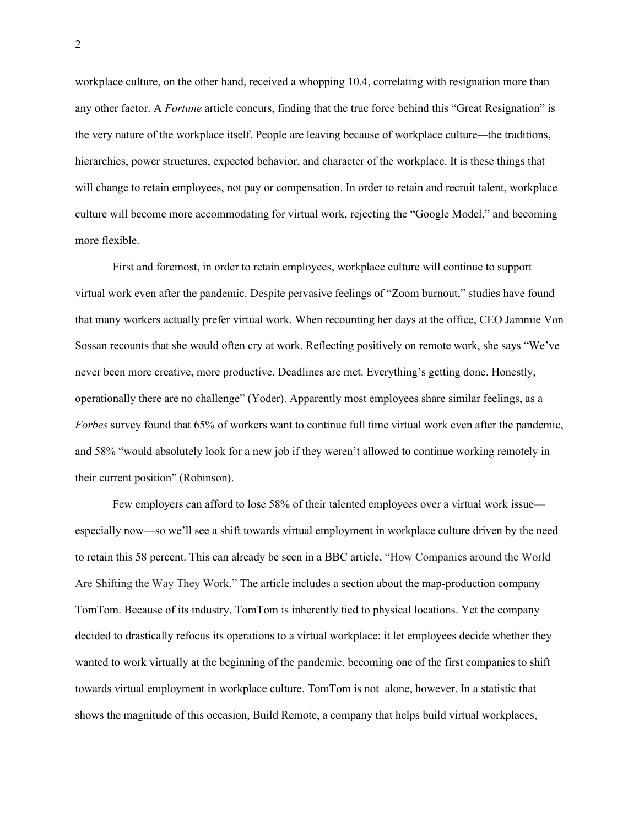workplace culture, on the other hand, received a whopping 10.4, correlating with resignation more than any other factor. A *Fortune* article concurs, finding that the true force behind this "Great Resignation" is the very nature of the workplace itself. People are leaving because of workplace culture—the traditions, hierarchies, power structures, expected behavior, and character of the workplace. It is these things that will change to retain employees, not pay or compensation. In order to retain and recruit talent, workplace culture will become more accommodating for virtual work, rejecting the "Google Model," and becoming more flexible.

First and foremost, in order to retain employees, workplace culture will continue to support virtual work even after the pandemic. Despite pervasive feelings of "Zoom burnout," studies have found that many workers actually prefer virtual work. When recounting her days at the office, CEO Jammie Von Sossan recounts that she would often cry at work. Reflecting positively on remote work, she says "We've never been more creative, more productive. Deadlines are met. Everything's getting done. Honestly, operationally there are no challenge" (Yoder). Apparently most employees share similar feelings, as a *Forbes* survey found that 65% of workers want to continue full time virtual work even after the pandemic, and 58% "would absolutely look for a new job if they weren't allowed to continue working remotely in their current position" (Robinson).

Few employers can afford to lose 58% of their talented employees over a virtual work issue especially now—so we'll see a shift towards virtual employment in workplace culture driven by the need to retain this 58 percent. This can already be seen in a BBC article, "How Companies around the World Are Shifting the Way They Work." The article includes a section about the map-production company TomTom. Because of its industry, TomTom is inherently tied to physical locations. Yet the company decided to drastically refocus its operations to a virtual workplace: it let employees decide whether they wanted to work virtually at the beginning of the pandemic, becoming one of the first companies to shift towards virtual employment in workplace culture. TomTom is not alone, however. In a statistic that shows the magnitude of this occasion, Build Remote, a company that helps build virtual workplaces,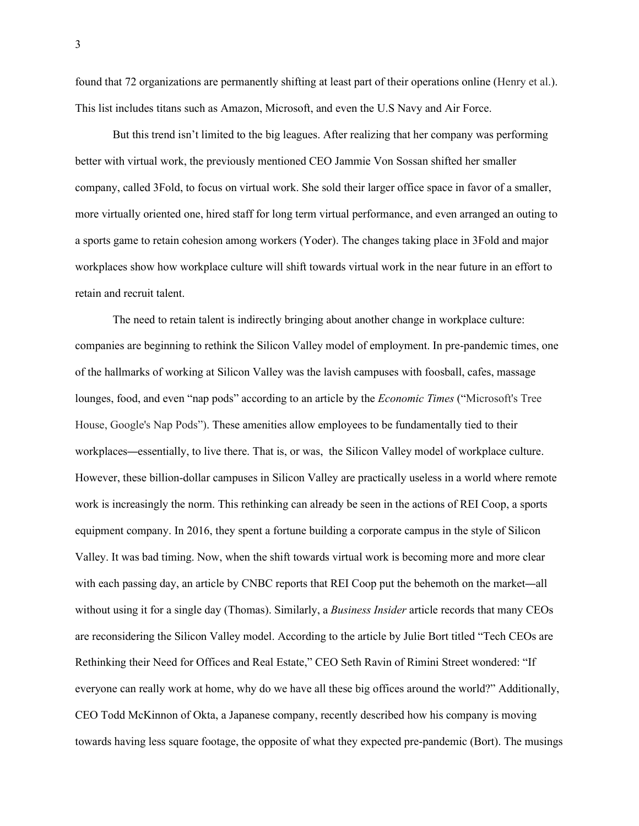found that 72 organizations are permanently shifting at least part of their operations online (Henry et al.). This list includes titans such as Amazon, Microsoft, and even the U.S Navy and Air Force.

But this trend isn't limited to the big leagues. After realizing that her company was performing better with virtual work, the previously mentioned CEO Jammie Von Sossan shifted her smaller company, called 3Fold, to focus on virtual work. She sold their larger office space in favor of a smaller, more virtually oriented one, hired staff for long term virtual performance, and even arranged an outing to a sports game to retain cohesion among workers (Yoder). The changes taking place in 3Fold and major workplaces show how workplace culture will shift towards virtual work in the near future in an effort to retain and recruit talent.

The need to retain talent is indirectly bringing about another change in workplace culture: companies are beginning to rethink the Silicon Valley model of employment. In pre-pandemic times, one of the hallmarks of working at Silicon Valley was the lavish campuses with foosball, cafes, massage lounges, food, and even "nap pods" according to an article by the *Economic Times* ("Microsoft's Tree House, Google's Nap Pods"). These amenities allow employees to be fundamentally tied to their workplaces—essentially, to live there. That is, or was, the Silicon Valley model of workplace culture. However, these billion-dollar campuses in Silicon Valley are practically useless in a world where remote work is increasingly the norm. This rethinking can already be seen in the actions of REI Coop, a sports equipment company. In 2016, they spent a fortune building a corporate campus in the style of Silicon Valley. It was bad timing. Now, when the shift towards virtual work is becoming more and more clear with each passing day, an article by CNBC reports that REI Coop put the behemoth on the market—all without using it for a single day (Thomas). Similarly, a *Business Insider* article records that many CEOs are reconsidering the Silicon Valley model. According to the article by Julie Bort titled "Tech CEOs are Rethinking their Need for Offices and Real Estate," CEO Seth Ravin of Rimini Street wondered: "If everyone can really work at home, why do we have all these big offices around the world?" Additionally, CEO Todd McKinnon of Okta, a Japanese company, recently described how his company is moving towards having less square footage, the opposite of what they expected pre-pandemic (Bort). The musings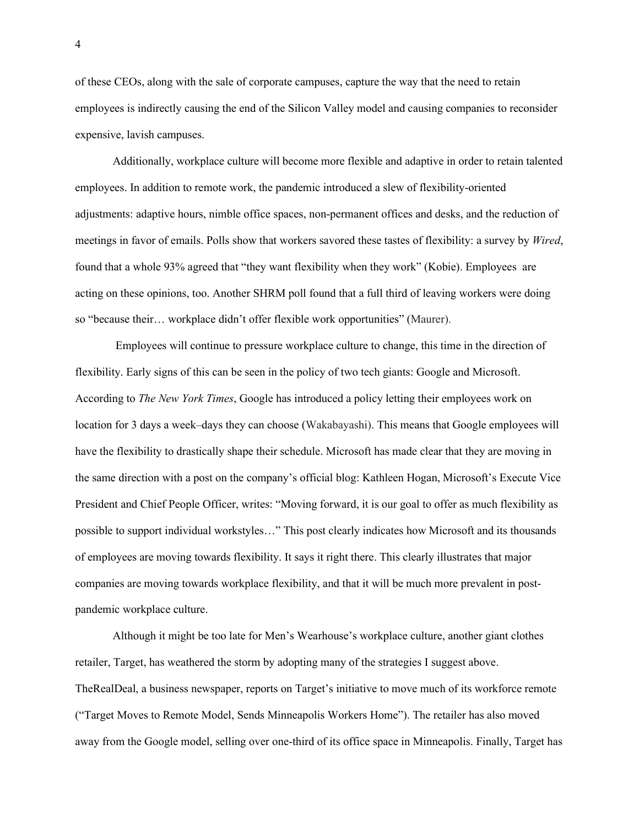of these CEOs, along with the sale of corporate campuses, capture the way that the need to retain employees is indirectly causing the end of the Silicon Valley model and causing companies to reconsider expensive, lavish campuses.

Additionally, workplace culture will become more flexible and adaptive in order to retain talented employees. In addition to remote work, the pandemic introduced a slew of flexibility-oriented adjustments: adaptive hours, nimble office spaces, non-permanent offices and desks, and the reduction of meetings in favor of emails. Polls show that workers savored these tastes of flexibility: a survey by *Wired*, found that a whole 93% agreed that "they want flexibility when they work" (Kobie). Employees are acting on these opinions, too. Another SHRM poll found that a full third of leaving workers were doing so "because their… workplace didn't offer flexible work opportunities" (Maurer).

 Employees will continue to pressure workplace culture to change, this time in the direction of flexibility. Early signs of this can be seen in the policy of two tech giants: Google and Microsoft. According to *The New York Times*, Google has introduced a policy letting their employees work on location for 3 days a week–days they can choose (Wakabayashi). This means that Google employees will have the flexibility to drastically shape their schedule. Microsoft has made clear that they are moving in the same direction with a post on the company's official blog: Kathleen Hogan, Microsoft's Execute Vice President and Chief People Officer, writes: "Moving forward, it is our goal to offer as much flexibility as possible to support individual workstyles…" This post clearly indicates how Microsoft and its thousands of employees are moving towards flexibility. It says it right there. This clearly illustrates that major companies are moving towards workplace flexibility, and that it will be much more prevalent in postpandemic workplace culture.

Although it might be too late for Men's Wearhouse's workplace culture, another giant clothes retailer, Target, has weathered the storm by adopting many of the strategies I suggest above. TheRealDeal, a business newspaper, reports on Target's initiative to move much of its workforce remote ("Target Moves to Remote Model, Sends Minneapolis Workers Home"). The retailer has also moved away from the Google model, selling over one-third of its office space in Minneapolis. Finally, Target has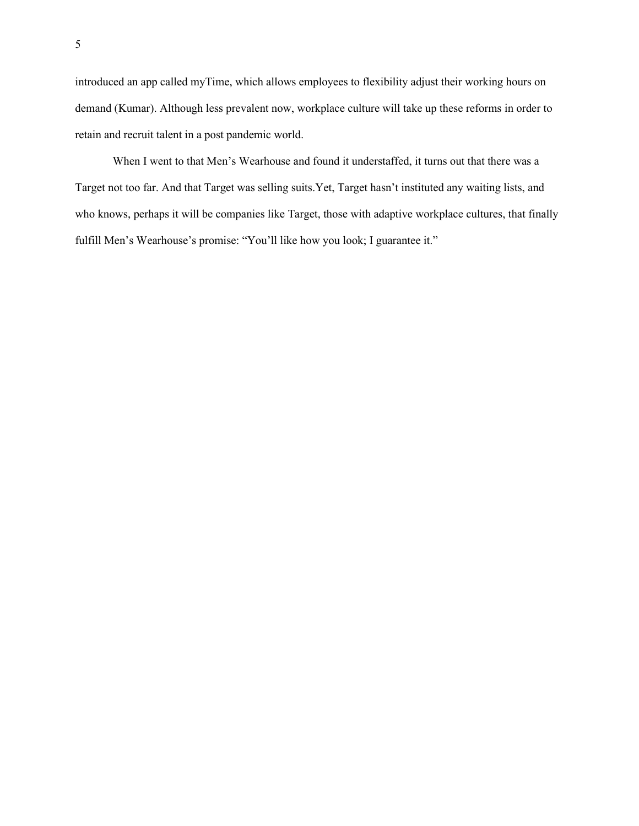introduced an app called myTime, which allows employees to flexibility adjust their working hours on demand (Kumar). Although less prevalent now, workplace culture will take up these reforms in order to retain and recruit talent in a post pandemic world.

When I went to that Men's Wearhouse and found it understaffed, it turns out that there was a Target not too far. And that Target was selling suits.Yet, Target hasn't instituted any waiting lists, and who knows, perhaps it will be companies like Target, those with adaptive workplace cultures, that finally fulfill Men's Wearhouse's promise: "You'll like how you look; I guarantee it."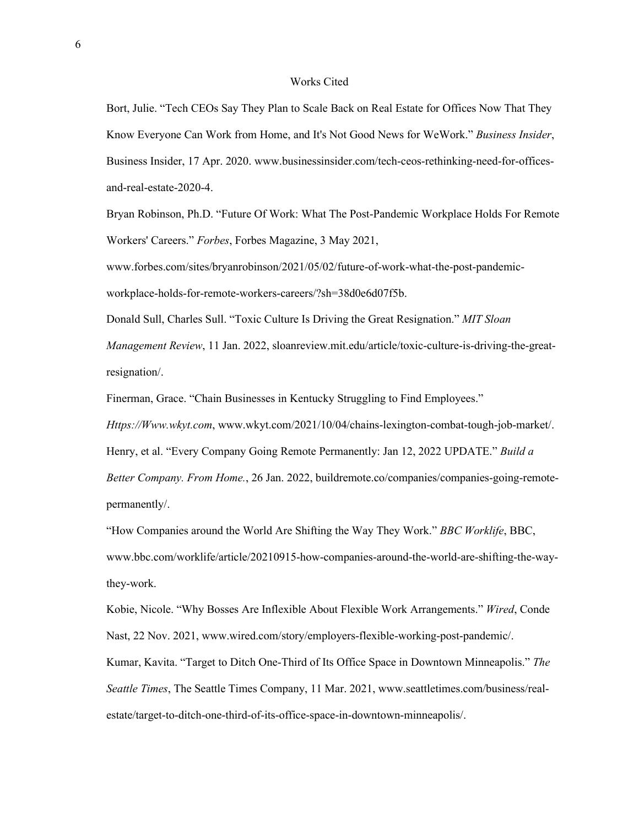#### Works Cited

Bort, Julie. "Tech CEOs Say They Plan to Scale Back on Real Estate for Offices Now That They Know Everyone Can Work from Home, and It's Not Good News for WeWork." *Business Insider*, Business Insider, 17 Apr. 2020. www.businessinsider.com/tech-ceos-rethinking-need-for-officesand-real-estate-2020-4.

Bryan Robinson, Ph.D. "Future Of Work: What The Post-Pandemic Workplace Holds For Remote Workers' Careers." *Forbes*, Forbes Magazine, 3 May 2021,

www.forbes.com/sites/bryanrobinson/2021/05/02/future-of-work-what-the-post-pandemicworkplace-holds-for-remote-workers-careers/?sh=38d0e6d07f5b.

Donald Sull, Charles Sull. "Toxic Culture Is Driving the Great Resignation." *MIT Sloan Management Review*, 11 Jan. 2022, sloanreview.mit.edu/article/toxic-culture-is-driving-the-greatresignation/.

Finerman, Grace. "Chain Businesses in Kentucky Struggling to Find Employees."

*Https://Www.wkyt.com*, www.wkyt.com/2021/10/04/chains-lexington-combat-tough-job-market/.

Henry, et al. "Every Company Going Remote Permanently: Jan 12, 2022 UPDATE." *Build a* 

*Better Company. From Home.*, 26 Jan. 2022, buildremote.co/companies/companies-going-remotepermanently/.

"How Companies around the World Are Shifting the Way They Work." *BBC Worklife*, BBC, www.bbc.com/worklife/article/20210915-how-companies-around-the-world-are-shifting-the-waythey-work.

Kobie, Nicole. "Why Bosses Are Inflexible About Flexible Work Arrangements." *Wired*, Conde Nast, 22 Nov. 2021, www.wired.com/story/employers-flexible-working-post-pandemic/.

Kumar, Kavita. "Target to Ditch One-Third of Its Office Space in Downtown Minneapolis." *The Seattle Times*, The Seattle Times Company, 11 Mar. 2021, www.seattletimes.com/business/realestate/target-to-ditch-one-third-of-its-office-space-in-downtown-minneapolis/.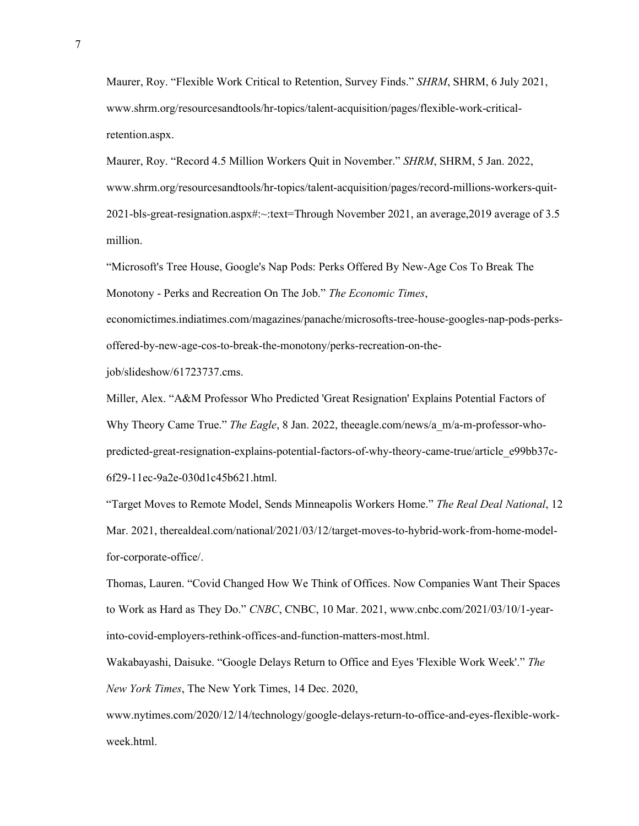Maurer, Roy. "Flexible Work Critical to Retention, Survey Finds." *SHRM*, SHRM, 6 July 2021, www.shrm.org/resourcesandtools/hr-topics/talent-acquisition/pages/flexible-work-criticalretention.aspx.

Maurer, Roy. "Record 4.5 Million Workers Quit in November." *SHRM*, SHRM, 5 Jan. 2022, www.shrm.org/resourcesandtools/hr-topics/talent-acquisition/pages/record-millions-workers-quit-2021-bls-great-resignation.aspx#:~:text=Through November 2021, an average,2019 average of 3.5 million.

"Microsoft's Tree House, Google's Nap Pods: Perks Offered By New-Age Cos To Break The Monotony - Perks and Recreation On The Job." *The Economic Times*, economictimes.indiatimes.com/magazines/panache/microsofts-tree-house-googles-nap-pods-perks-

offered-by-new-age-cos-to-break-the-monotony/perks-recreation-on-the-

job/slideshow/61723737.cms.

Miller, Alex. "A&M Professor Who Predicted 'Great Resignation' Explains Potential Factors of Why Theory Came True." *The Eagle*, 8 Jan. 2022, theeagle.com/news/a\_m/a-m-professor-whopredicted-great-resignation-explains-potential-factors-of-why-theory-came-true/article\_e99bb37c-6f29-11ec-9a2e-030d1c45b621.html.

"Target Moves to Remote Model, Sends Minneapolis Workers Home." *The Real Deal National*, 12 Mar. 2021, therealdeal.com/national/2021/03/12/target-moves-to-hybrid-work-from-home-modelfor-corporate-office/.

Thomas, Lauren. "Covid Changed How We Think of Offices. Now Companies Want Their Spaces to Work as Hard as They Do." *CNBC*, CNBC, 10 Mar. 2021, www.cnbc.com/2021/03/10/1-yearinto-covid-employers-rethink-offices-and-function-matters-most.html.

Wakabayashi, Daisuke. "Google Delays Return to Office and Eyes 'Flexible Work Week'." *The New York Times*, The New York Times, 14 Dec. 2020,

www.nytimes.com/2020/12/14/technology/google-delays-return-to-office-and-eyes-flexible-workweek.html.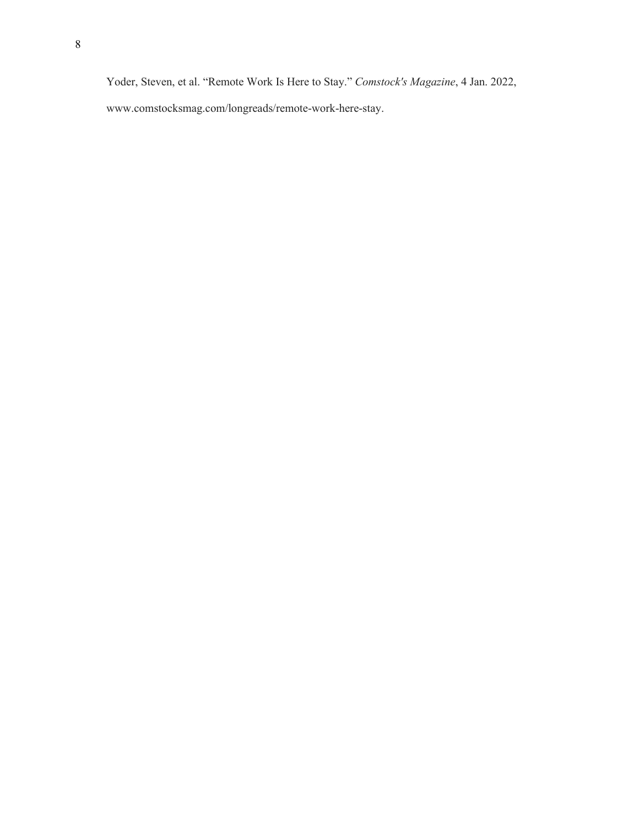Yoder, Steven, et al. "Remote Work Is Here to Stay." *Comstock's Magazine*, 4 Jan. 2022, www.comstocksmag.com/longreads/remote-work-here-stay.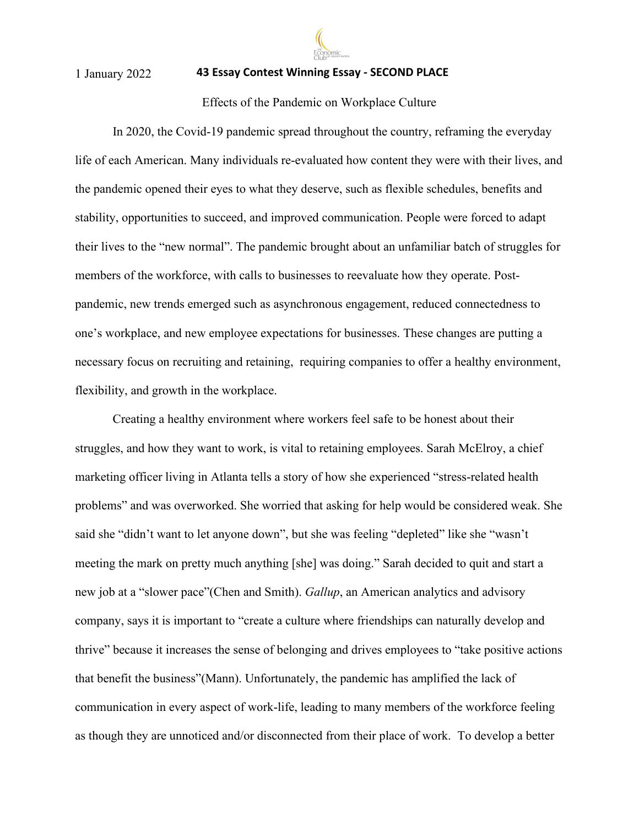

## **43 Essay Contest Winning Essay - SECOND PLACE**

## Effects of the Pandemic on Workplace Culture

In 2020, the Covid-19 pandemic spread throughout the country, reframing the everyday life of each American. Many individuals re-evaluated how content they were with their lives, and the pandemic opened their eyes to what they deserve, such as flexible schedules, benefits and stability, opportunities to succeed, and improved communication. People were forced to adapt their lives to the "new normal". The pandemic brought about an unfamiliar batch of struggles for members of the workforce, with calls to businesses to reevaluate how they operate. Postpandemic, new trends emerged such as asynchronous engagement, reduced connectedness to one's workplace, and new employee expectations for businesses. These changes are putting a necessary focus on recruiting and retaining, requiring companies to offer a healthy environment, flexibility, and growth in the workplace.

Creating a healthy environment where workers feel safe to be honest about their struggles, and how they want to work, is vital to retaining employees. Sarah McElroy, a chief marketing officer living in Atlanta tells a story of how she experienced "stress-related health problems" and was overworked. She worried that asking for help would be considered weak. She said she "didn't want to let anyone down", but she was feeling "depleted" like she "wasn't meeting the mark on pretty much anything [she] was doing." Sarah decided to quit and start a new job at a "slower pace"(Chen and Smith). *Gallup*, an American analytics and advisory company, says it is important to "create a culture where friendships can naturally develop and thrive" because it increases the sense of belonging and drives employees to "take positive actions that benefit the business"(Mann). Unfortunately, the pandemic has amplified the lack of communication in every aspect of work-life, leading to many members of the workforce feeling as though they are unnoticed and/or disconnected from their place of work. To develop a better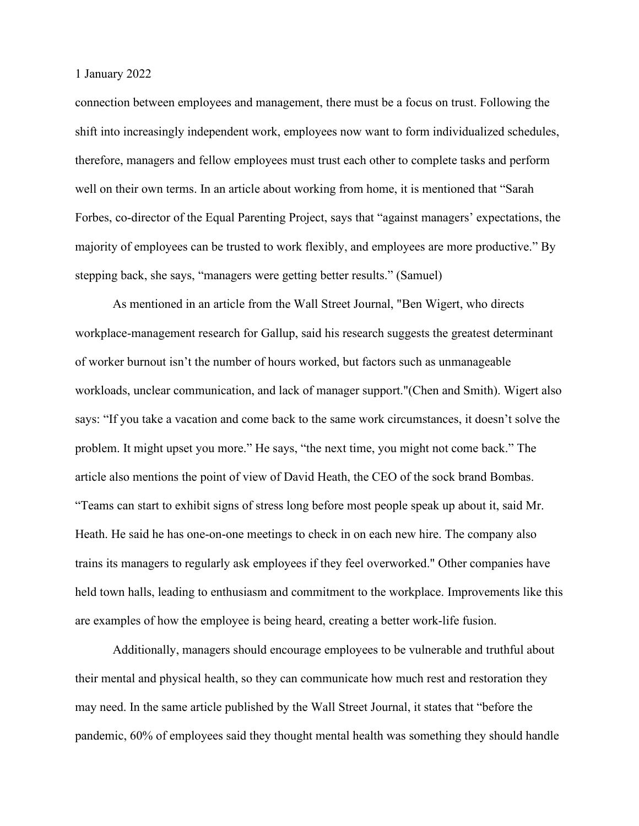connection between employees and management, there must be a focus on trust. Following the shift into increasingly independent work, employees now want to form individualized schedules, therefore, managers and fellow employees must trust each other to complete tasks and perform well on their own terms. In an article about working from home, it is mentioned that "Sarah Forbes, co-director of the Equal Parenting Project, says that "against managers' expectations, the majority of employees can be trusted to work flexibly, and employees are more productive." By stepping back, she says, "managers were getting better results." (Samuel)

As mentioned in an article from the Wall Street Journal, "Ben Wigert, who directs workplace-management research for Gallup, said his research suggests the greatest determinant of worker burnout isn't the number of hours worked, but factors such as unmanageable workloads, unclear communication, and lack of manager support."(Chen and Smith). Wigert also says: "If you take a vacation and come back to the same work circumstances, it doesn't solve the problem. It might upset you more." He says, "the next time, you might not come back." The article also mentions the point of view of David Heath, the CEO of the sock brand Bombas. "Teams can start to exhibit signs of stress long before most people speak up about it, said Mr. Heath. He said he has one-on-one meetings to check in on each new hire. The company also trains its managers to regularly ask employees if they feel overworked." Other companies have held town halls, leading to enthusiasm and commitment to the workplace. Improvements like this are examples of how the employee is being heard, creating a better work-life fusion.

Additionally, managers should encourage employees to be vulnerable and truthful about their mental and physical health, so they can communicate how much rest and restoration they may need. In the same article published by the Wall Street Journal, it states that "before the pandemic, 60% of employees said they thought mental health was something they should handle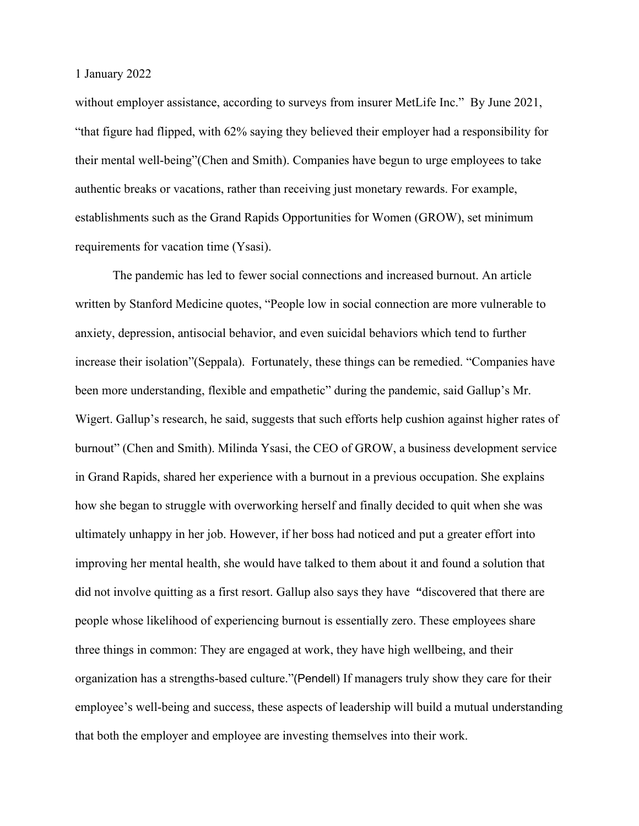without employer assistance, according to surveys from insurer MetLife Inc." By June 2021, "that figure had flipped, with 62% saying they believed their employer had a responsibility for their mental well-being"(Chen and Smith). Companies have begun to urge employees to take authentic breaks or vacations, rather than receiving just monetary rewards. For example, establishments such as the Grand Rapids Opportunities for Women (GROW), set minimum requirements for vacation time (Ysasi).

The pandemic has led to fewer social connections and increased burnout. An article written by Stanford Medicine quotes, "People low in social connection are more vulnerable to anxiety, depression, antisocial behavior, and even suicidal behaviors which tend to further increase their isolation"(Seppala). Fortunately, these things can be remedied. "Companies have been more understanding, flexible and empathetic" during the pandemic, said Gallup's Mr. Wigert. Gallup's research, he said, suggests that such efforts help cushion against higher rates of burnout" (Chen and Smith). Milinda Ysasi, the CEO of GROW, a business development service in Grand Rapids, shared her experience with a burnout in a previous occupation. She explains how she began to struggle with overworking herself and finally decided to quit when she was ultimately unhappy in her job. However, if her boss had noticed and put a greater effort into improving her mental health, she would have talked to them about it and found a solution that did not involve quitting as a first resort. Gallup also says they have **"**discovered that there are people whose likelihood of experiencing burnout is essentially zero. These employees share three things in common: They are engaged at work, they have high wellbeing, and their organization has a strengths-based culture."(Pendell) If managers truly show they care for their employee's well-being and success, these aspects of leadership will build a mutual understanding that both the employer and employee are investing themselves into their work.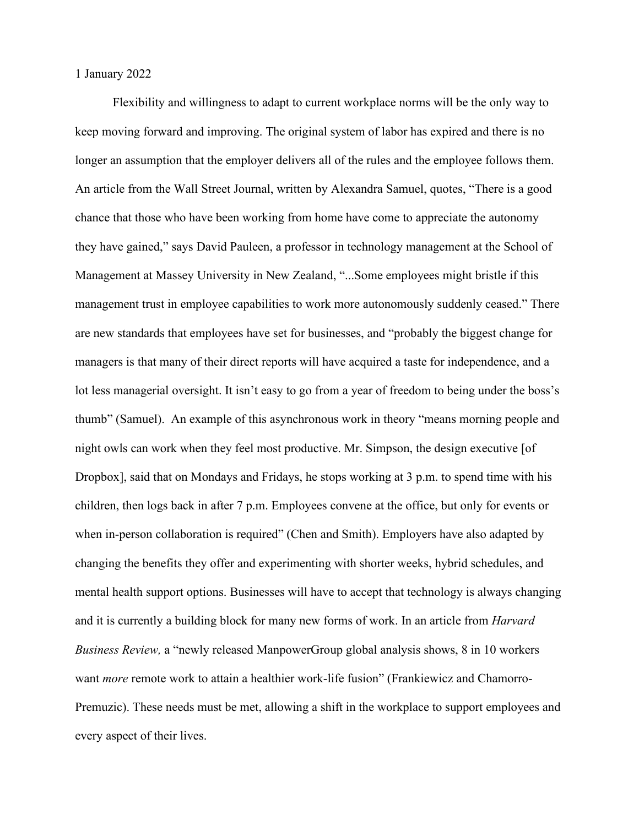Flexibility and willingness to adapt to current workplace norms will be the only way to keep moving forward and improving. The original system of labor has expired and there is no longer an assumption that the employer delivers all of the rules and the employee follows them. An article from the Wall Street Journal, written by Alexandra Samuel, quotes, "There is a good chance that those who have been working from home have come to appreciate the autonomy they have gained," says David Pauleen, a professor in technology management at the School of Management at Massey University in New Zealand, "...Some employees might bristle if this management trust in employee capabilities to work more autonomously suddenly ceased." There are new standards that employees have set for businesses, and "probably the biggest change for managers is that many of their direct reports will have acquired a taste for independence, and a lot less managerial oversight. It isn't easy to go from a year of freedom to being under the boss's thumb" (Samuel). An example of this asynchronous work in theory "means morning people and night owls can work when they feel most productive. Mr. Simpson, the design executive [of Dropbox], said that on Mondays and Fridays, he stops working at 3 p.m. to spend time with his children, then logs back in after 7 p.m. Employees convene at the office, but only for events or when in-person collaboration is required" (Chen and Smith). Employers have also adapted by changing the benefits they offer and experimenting with shorter weeks, hybrid schedules, and mental health support options. Businesses will have to accept that technology is always changing and it is currently a building block for many new forms of work. In an article from *Harvard Business Review,* a "newly released ManpowerGroup global analysis [shows,](https://go.manpowergroup.com/futureforworkers?utm_source=facebook&utm_medium=social&utm_campaign=futureforworkers&utm_term=organic&utm_content=global) 8 in 10 workers want *more* remote work to attain a healthier work-life [fusion"](https://hbr.org/2013/02/embrace-work-life-imbalan) (Frankiewicz and Chamorro-Premuzic). These needs must be met, allowing a shift in the workplace to support employees and every aspect of their lives.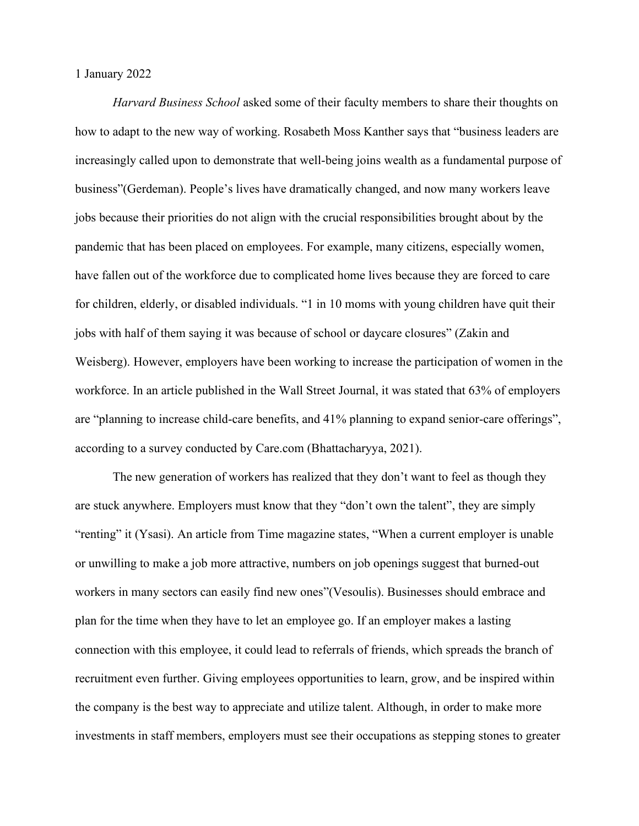*Harvard Business School* asked some of their faculty members to share their thoughts on how to adapt to the new way of working. Rosabeth Moss Kanther says that "business leaders are increasingly called upon to demonstrate that well-being joins wealth as a fundamental purpose of business"(Gerdeman). People's lives have dramatically changed, and now many workers leave jobs because their priorities do not align with the crucial responsibilities brought about by the pandemic that has been placed on employees. For example, many citizens, especially women, have fallen out of the workforce due to complicated home lives because they are forced to care for children, elderly, or disabled individuals. "1 in 10 moms with young children have quit their jobs with half of them saying it was because of school or daycare closures" (Zakin and Weisberg). However, employers have been working to increase the participation of women in the workforce. In an article published in the Wall Street Journal, it was stated that 63% of employers are "planning to increase child-care benefits, and 41% planning to expand senior-care offerings", according to a survey conducted by Care.com (Bhattacharyya, 2021).

The new generation of workers has realized that they don't want to feel as though they are stuck anywhere. Employers must know that they "don't own the talent", they are simply "renting" it (Ysasi). An article from Time magazine states, "When a current employer is unable or unwilling to make a job more attractive, numbers on job openings suggest that burned-out workers in many sectors can easily find new ones"(Vesoulis). Businesses should embrace and plan for the time when they have to let an employee go. If an employer makes a lasting connection with this employee, it could lead to referrals of friends, which spreads the branch of recruitment even further. Giving employees opportunities to learn, grow, and be inspired within the company is the best way to appreciate and utilize talent. Although, in order to make more investments in staff members, employers must see their occupations as stepping stones to greater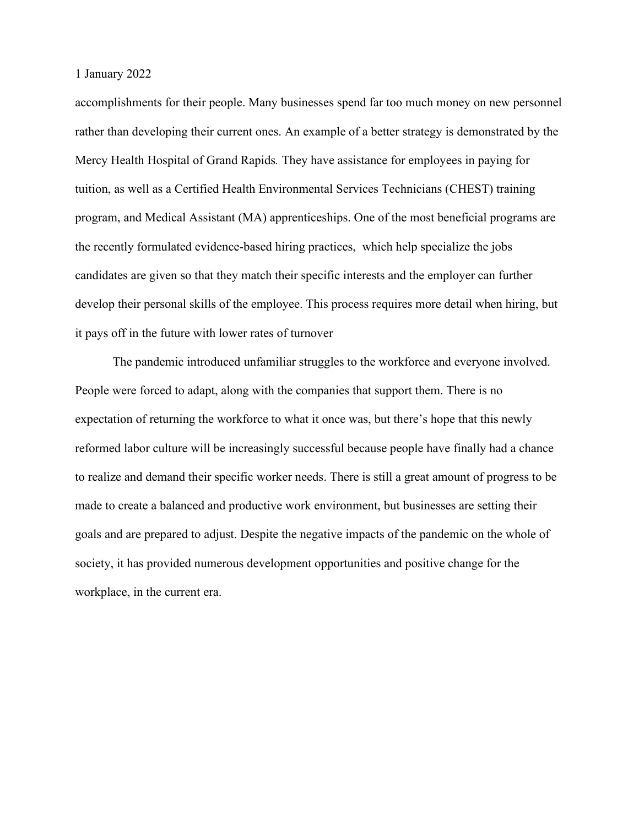accomplishments for their people. Many businesses spend far too much money on new personnel rather than developing their current ones. An example of a better strategy is demonstrated by the Mercy Health Hospital of Grand Rapids*.* They have assistance for employees in paying for tuition, as well as a Certified Health Environmental Services Technicians (CHEST) training program, and Medical Assistant (MA) apprenticeships. One of the most beneficial programs are the recently formulated evidence-based hiring practices, which help specialize the jobs candidates are given so that they match their specific interests and the employer can further develop their personal skills of the employee. This process requires more detail when hiring, but it pays off in the future with lower rates of turnover

The pandemic introduced unfamiliar struggles to the workforce and everyone involved. People were forced to adapt, along with the companies that support them. There is no expectation of returning the workforce to what it once was, but there's hope that this newly reformed labor culture will be increasingly successful because people have finally had a chance to realize and demand their specific worker needs. There is still a great amount of progress to be made to create a balanced and productive work environment, but businesses are setting their goals and are prepared to adjust. Despite the negative impacts of the pandemic on the whole of society, it has provided numerous development opportunities and positive change for the workplace, in the current era.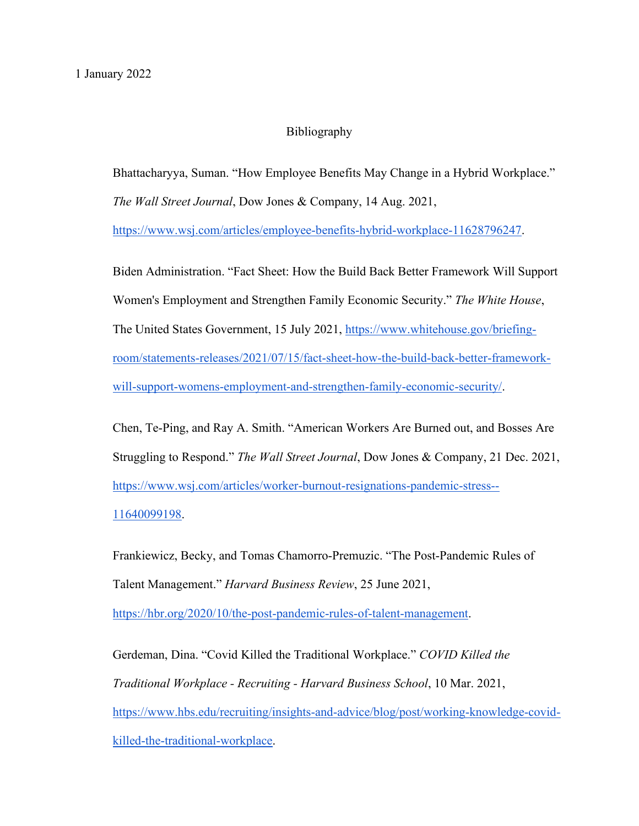# Bibliography

Bhattacharyya, Suman. "How Employee Benefits May Change in a Hybrid Workplace." *The Wall Street Journal*, Dow Jones & Company, 14 Aug. 2021,

[https://www.wsj.com/articles/employee-benefits-hybrid-workplace-11628796247.](https://www.wsj.com/articles/employee-benefits-hybrid-workplace-11628796247)

Biden Administration. "Fact Sheet: How the Build Back Better Framework Will Support Women's Employment and Strengthen Family Economic Security." *The White House*, The United States Government, 15 July 2021, [https://www.whitehouse.gov/briefing](https://www.whitehouse.gov/briefing-room/statements-releases/2021/07/15/fact-sheet-how-the-build-back-better-framework-will-support-womens-employment-and-strengthen-family-economic-security/)[room/statements-releases/2021/07/15/fact-sheet-how-the-build-back-better-framework](https://www.whitehouse.gov/briefing-room/statements-releases/2021/07/15/fact-sheet-how-the-build-back-better-framework-will-support-womens-employment-and-strengthen-family-economic-security/)[will-support-womens-employment-and-strengthen-family-economic-security/.](https://www.whitehouse.gov/briefing-room/statements-releases/2021/07/15/fact-sheet-how-the-build-back-better-framework-will-support-womens-employment-and-strengthen-family-economic-security/)

Chen, Te-Ping, and Ray A. Smith. "American Workers Are Burned out, and Bosses Are Struggling to Respond." *The Wall Street Journal*, Dow Jones & Company, 21 Dec. 2021, [https://www.wsj.com/articles/worker-burnout-resignations-pandemic-stress--](https://www.wsj.com/articles/worker-burnout-resignations-pandemic-stress--11640099198) [11640099198.](https://www.wsj.com/articles/worker-burnout-resignations-pandemic-stress--11640099198)

Frankiewicz, Becky, and Tomas Chamorro-Premuzic. "The Post-Pandemic Rules of Talent Management." *Harvard Business Review*, 25 June 2021,

[https://hbr.org/2020/10/the-post-pandemic-rules-of-talent-management.](https://hbr.org/2020/10/the-post-pandemic-rules-of-talent-management)

Gerdeman, Dina. "Covid Killed the Traditional Workplace." *COVID Killed the Traditional Workplace - Recruiting - Harvard Business School*, 10 Mar. 2021, [https://www.hbs.edu/recruiting/insights-and-advice/blog/post/working-knowledge-covid](https://www.hbs.edu/recruiting/insights-and-advice/blog/post/working-knowledge-covid-killed-the-traditional-workplace)[killed-the-traditional-workplace.](https://www.hbs.edu/recruiting/insights-and-advice/blog/post/working-knowledge-covid-killed-the-traditional-workplace)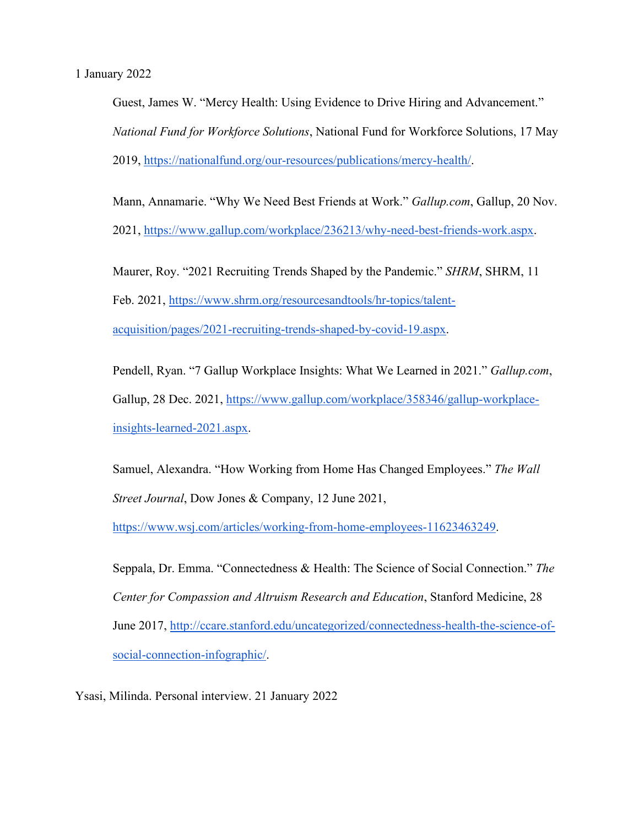Guest, James W. "Mercy Health: Using Evidence to Drive Hiring and Advancement." *National Fund for Workforce Solutions*, National Fund for Workforce Solutions, 17 May 2019, [https://nationalfund.org/our-resources/publications/mercy-health/.](https://nationalfund.org/our-resources/publications/mercy-health/)

Mann, Annamarie. "Why We Need Best Friends at Work." *Gallup.com*, Gallup, 20 Nov.

2021, [https://www.gallup.com/workplace/236213/why-need-best-friends-work.aspx.](https://www.gallup.com/workplace/236213/why-need-best-friends-work.aspx)

Maurer, Roy. "2021 Recruiting Trends Shaped by the Pandemic." *SHRM*, SHRM, 11 Feb. 2021, [https://www.shrm.org/resourcesandtools/hr-topics/talent](https://www.shrm.org/resourcesandtools/hr-topics/talent-acquisition/pages/2021-recruiting-trends-shaped-by-covid-19.aspx)[acquisition/pages/2021-recruiting-trends-shaped-by-covid-19.aspx.](https://www.shrm.org/resourcesandtools/hr-topics/talent-acquisition/pages/2021-recruiting-trends-shaped-by-covid-19.aspx)

Pendell, Ryan. "7 Gallup Workplace Insights: What We Learned in 2021." *Gallup.com*, Gallup, 28 Dec. 2021, [https://www.gallup.com/workplace/358346/gallup-workplace](https://www.gallup.com/workplace/358346/gallup-workplace-insights-learned-2021.aspx)[insights-learned-2021.aspx.](https://www.gallup.com/workplace/358346/gallup-workplace-insights-learned-2021.aspx)

Samuel, Alexandra. "How Working from Home Has Changed Employees." *The Wall Street Journal*, Dow Jones & Company, 12 June 2021,

[https://www.wsj.com/articles/working-from-home-employees-11623463249.](https://www.wsj.com/articles/working-from-home-employees-11623463249)

Seppala, Dr. Emma. "Connectedness & Health: The Science of Social Connection." *The Center for Compassion and Altruism Research and Education*, Stanford Medicine, 28 June 2017, [http://ccare.stanford.edu/uncategorized/connectedness-health-the-science-of](http://ccare.stanford.edu/uncategorized/connectedness-health-the-science-of-social-connection-infographic/)[social-connection-infographic/.](http://ccare.stanford.edu/uncategorized/connectedness-health-the-science-of-social-connection-infographic/)

Ysasi, Milinda. Personal interview. 21 January 2022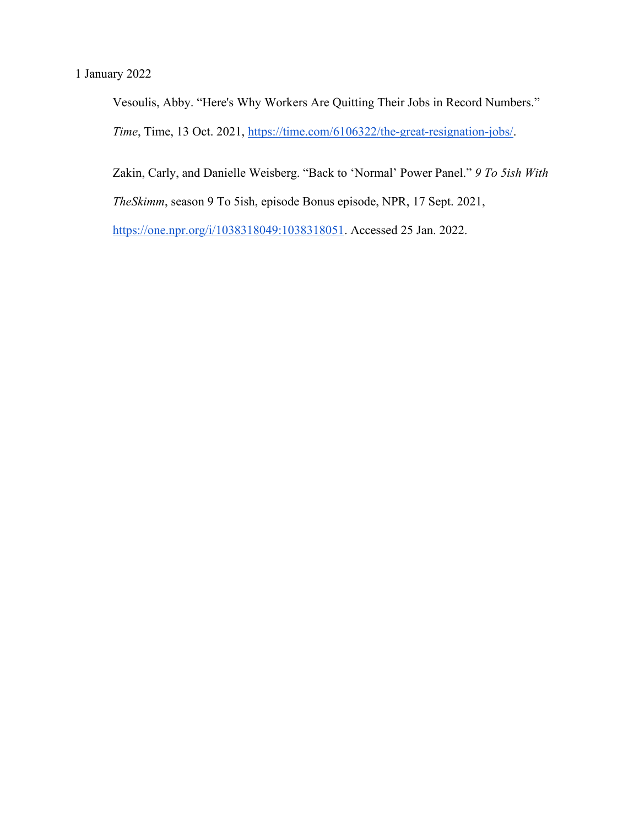Vesoulis, Abby. "Here's Why Workers Are Quitting Their Jobs in Record Numbers." *Time*, Time, 13 Oct. 2021, [https://time.com/6106322/the-great-resignation-jobs/.](https://time.com/6106322/the-great-resignation-jobs/)

Zakin, Carly, and Danielle Weisberg. "Back to 'Normal' Power Panel." *9 To 5ish With* 

*TheSkimm*, season 9 To 5ish, episode Bonus episode, NPR, 17 Sept. 2021,

[https://one.npr.org/i/1038318049:1038318051.](https://one.npr.org/i/1038318049:1038318051) Accessed 25 Jan. 2022.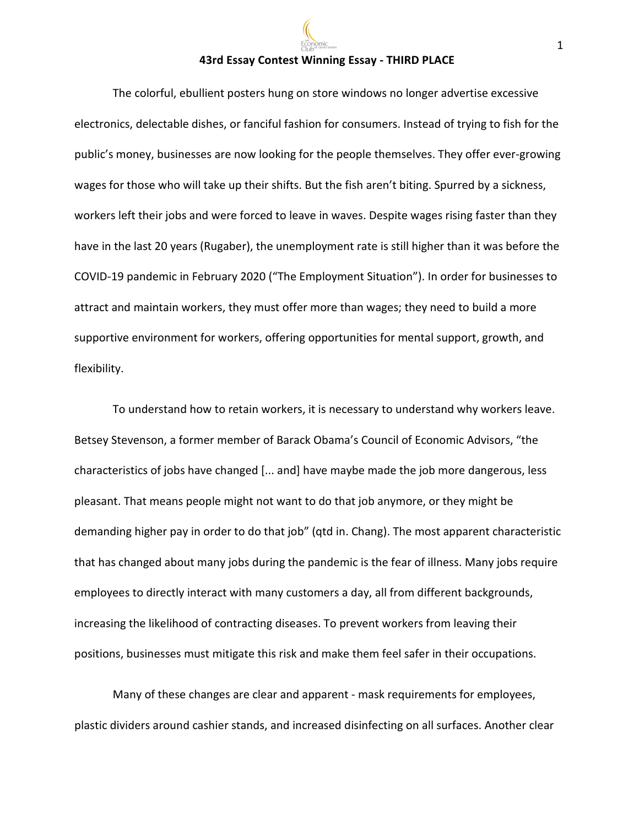#### **43rd Essay Contest Winning Essay - THIRD PLACE**

The colorful, ebullient posters hung on store windows no longer advertise excessive electronics, delectable dishes, or fanciful fashion for consumers. Instead of trying to fish for the public's money, businesses are now looking for the people themselves. They offer ever-growing wages for those who will take up their shifts. But the fish aren't biting. Spurred by a sickness, workers left their jobs and were forced to leave in waves. Despite wages rising faster than they have in the last 20 years (Rugaber), the unemployment rate is still higher than it was before the COVID-19 pandemic in February 2020 ("The Employment Situation"). In order for businesses to attract and maintain workers, they must offer more than wages; they need to build a more supportive environment for workers, offering opportunities for mental support, growth, and flexibility.

To understand how to retain workers, it is necessary to understand why workers leave. Betsey Stevenson, a former member of Barack Obama's Council of Economic Advisors, "the characteristics of jobs have changed [... and] have maybe made the job more dangerous, less pleasant. That means people might not want to do that job anymore, or they might be demanding higher pay in order to do that job" (qtd in. Chang). The most apparent characteristic that has changed about many jobs during the pandemic is the fear of illness. Many jobs require employees to directly interact with many customers a day, all from different backgrounds, increasing the likelihood of contracting diseases. To prevent workers from leaving their positions, businesses must mitigate this risk and make them feel safer in their occupations.

Many of these changes are clear and apparent - mask requirements for employees, plastic dividers around cashier stands, and increased disinfecting on all surfaces. Another clear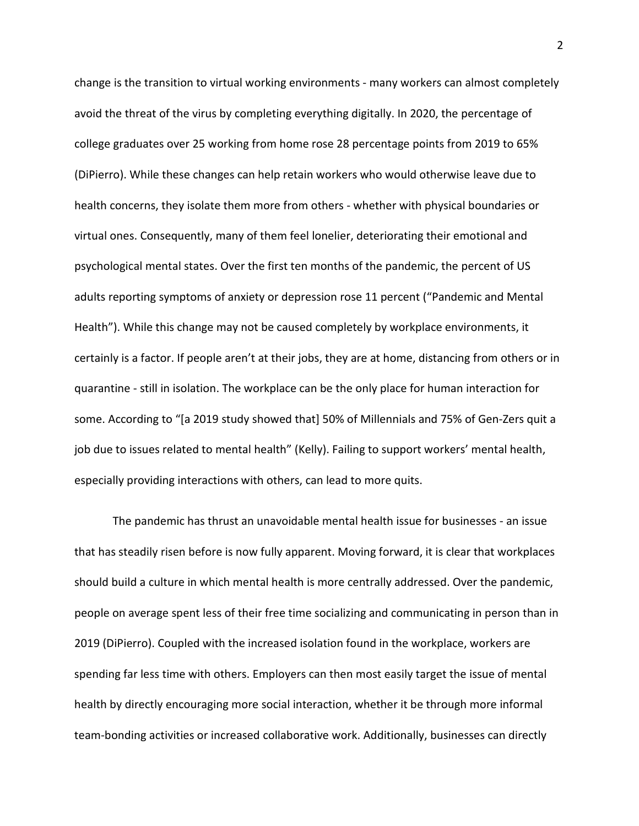change is the transition to virtual working environments - many workers can almost completely avoid the threat of the virus by completing everything digitally. In 2020, the percentage of college graduates over 25 working from home rose 28 percentage points from 2019 to 65% (DiPierro). While these changes can help retain workers who would otherwise leave due to health concerns, they isolate them more from others - whether with physical boundaries or virtual ones. Consequently, many of them feel lonelier, deteriorating their emotional and psychological mental states. Over the first ten months of the pandemic, the percent of US adults reporting symptoms of anxiety or depression rose 11 percent ("Pandemic and Mental Health"). While this change may not be caused completely by workplace environments, it certainly is a factor. If people aren't at their jobs, they are at home, distancing from others or in quarantine - still in isolation. The workplace can be the only place for human interaction for some. According to "[a 2019 study showed that] 50% of Millennials and 75% of Gen-Zers quit a job due to issues related to mental health" (Kelly). Failing to support workers' mental health, especially providing interactions with others, can lead to more quits.

The pandemic has thrust an unavoidable mental health issue for businesses - an issue that has steadily risen before is now fully apparent. Moving forward, it is clear that workplaces should build a culture in which mental health is more centrally addressed. Over the pandemic, people on average spent less of their free time socializing and communicating in person than in 2019 (DiPierro). Coupled with the increased isolation found in the workplace, workers are spending far less time with others. Employers can then most easily target the issue of mental health by directly encouraging more social interaction, whether it be through more informal team-bonding activities or increased collaborative work. Additionally, businesses can directly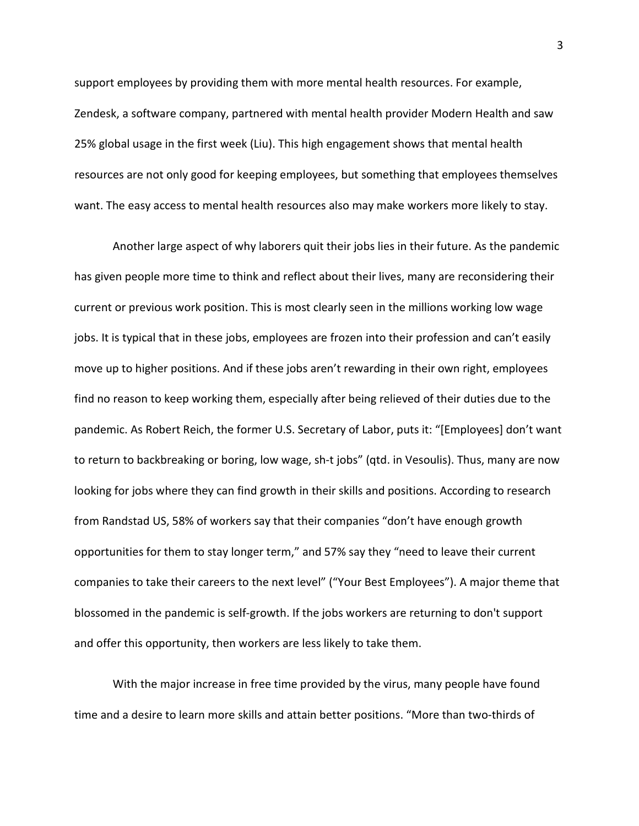support employees by providing them with more mental health resources. For example, Zendesk, a software company, partnered with mental health provider Modern Health and saw 25% global usage in the first week (Liu). This high engagement shows that mental health resources are not only good for keeping employees, but something that employees themselves want. The easy access to mental health resources also may make workers more likely to stay.

Another large aspect of why laborers quit their jobs lies in their future. As the pandemic has given people more time to think and reflect about their lives, many are reconsidering their current or previous work position. This is most clearly seen in the millions working low wage jobs. It is typical that in these jobs, employees are frozen into their profession and can't easily move up to higher positions. And if these jobs aren't rewarding in their own right, employees find no reason to keep working them, especially after being relieved of their duties due to the pandemic. As Robert Reich, the former U.S. Secretary of Labor, puts it: "[Employees] don't want to return to backbreaking or boring, low wage, sh-t jobs" (qtd. in Vesoulis). Thus, many are now looking for jobs where they can find growth in their skills and positions. According to research from Randstad US, 58% of workers say that their companies "don't have enough growth opportunities for them to stay longer term," and 57% say they "need to leave their current companies to take their careers to the next level" ("Your Best Employees"). A major theme that blossomed in the pandemic is self-growth. If the jobs workers are returning to don't support and offer this opportunity, then workers are less likely to take them.

With the major increase in free time provided by the virus, many people have found time and a desire to learn more skills and attain better positions. "More than two-thirds of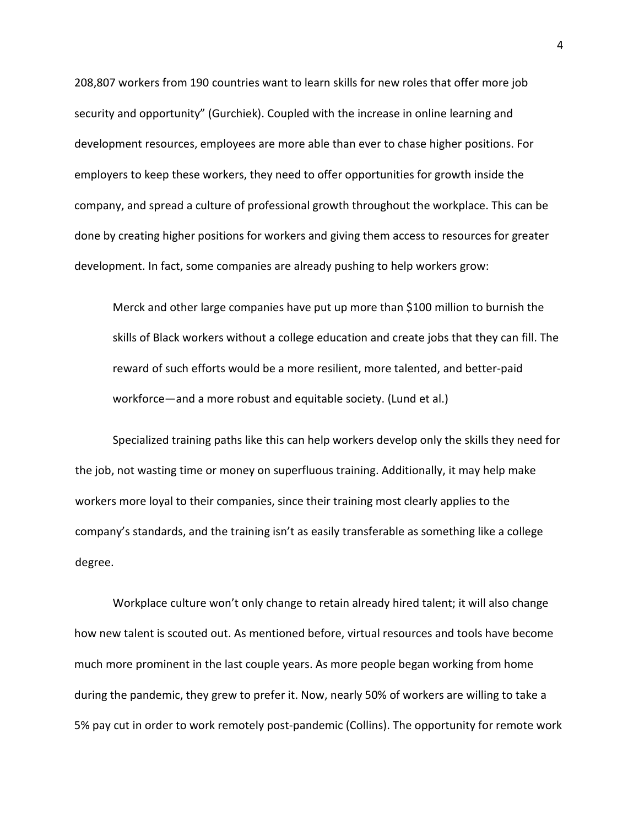208,807 workers from 190 countries want to learn skills for new roles that offer more job security and opportunity" (Gurchiek). Coupled with the increase in online learning and development resources, employees are more able than ever to chase higher positions. For employers to keep these workers, they need to offer opportunities for growth inside the company, and spread a culture of professional growth throughout the workplace. This can be done by creating higher positions for workers and giving them access to resources for greater development. In fact, some companies are already pushing to help workers grow:

Merck and other large companies have put up more than \$100 million to burnish the skills of Black workers without a college education and create jobs that they can fill. The reward of such efforts would be a more resilient, more talented, and better-paid workforce—and a more robust and equitable society. (Lund et al.)

Specialized training paths like this can help workers develop only the skills they need for the job, not wasting time or money on superfluous training. Additionally, it may help make workers more loyal to their companies, since their training most clearly applies to the company's standards, and the training isn't as easily transferable as something like a college degree.

Workplace culture won't only change to retain already hired talent; it will also change how new talent is scouted out. As mentioned before, virtual resources and tools have become much more prominent in the last couple years. As more people began working from home during the pandemic, they grew to prefer it. Now, nearly 50% of workers are willing to take a 5% pay cut in order to work remotely post-pandemic (Collins). The opportunity for remote work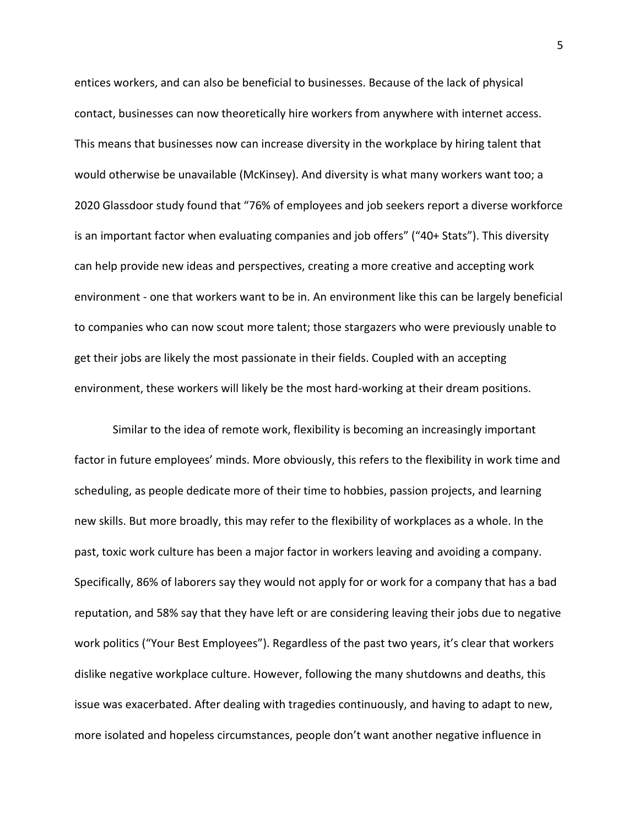entices workers, and can also be beneficial to businesses. Because of the lack of physical contact, businesses can now theoretically hire workers from anywhere with internet access. This means that businesses now can increase diversity in the workplace by hiring talent that would otherwise be unavailable (McKinsey). And diversity is what many workers want too; a 2020 Glassdoor study found that "76% of employees and job seekers report a diverse workforce is an important factor when evaluating companies and job offers" ("40+ Stats"). This diversity can help provide new ideas and perspectives, creating a more creative and accepting work environment - one that workers want to be in. An environment like this can be largely beneficial to companies who can now scout more talent; those stargazers who were previously unable to get their jobs are likely the most passionate in their fields. Coupled with an accepting environment, these workers will likely be the most hard-working at their dream positions.

Similar to the idea of remote work, flexibility is becoming an increasingly important factor in future employees' minds. More obviously, this refers to the flexibility in work time and scheduling, as people dedicate more of their time to hobbies, passion projects, and learning new skills. But more broadly, this may refer to the flexibility of workplaces as a whole. In the past, toxic work culture has been a major factor in workers leaving and avoiding a company. Specifically, 86% of laborers say they would not apply for or work for a company that has a bad reputation, and 58% say that they have left or are considering leaving their jobs due to negative work politics ("Your Best Employees"). Regardless of the past two years, it's clear that workers dislike negative workplace culture. However, following the many shutdowns and deaths, this issue was exacerbated. After dealing with tragedies continuously, and having to adapt to new, more isolated and hopeless circumstances, people don't want another negative influence in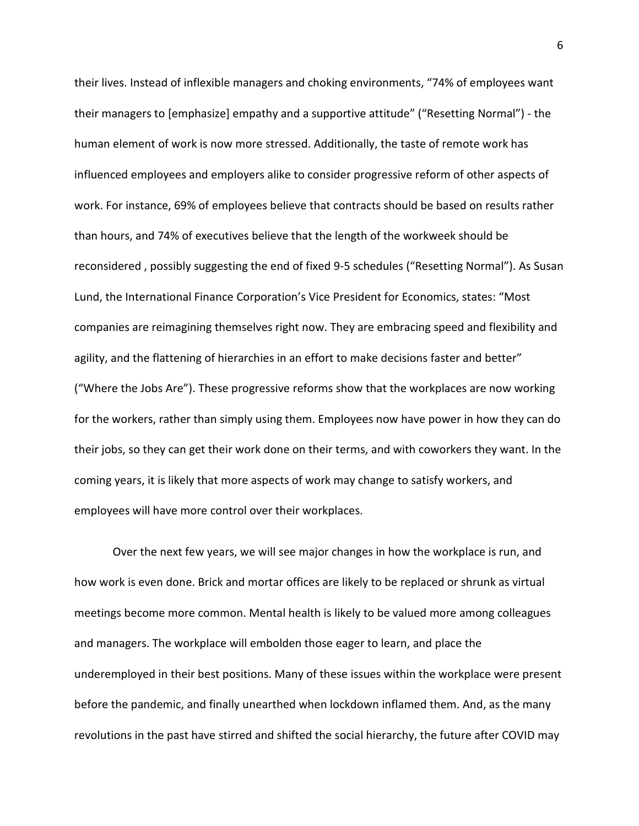their lives. Instead of inflexible managers and choking environments, "74% of employees want their managers to [emphasize] empathy and a supportive attitude" ("Resetting Normal") - the human element of work is now more stressed. Additionally, the taste of remote work has influenced employees and employers alike to consider progressive reform of other aspects of work. For instance, 69% of employees believe that contracts should be based on results rather than hours, and 74% of executives believe that the length of the workweek should be reconsidered , possibly suggesting the end of fixed 9-5 schedules ("Resetting Normal"). As Susan Lund, the International Finance Corporation's Vice President for Economics, states: "Most companies are reimagining themselves right now. They are embracing speed and flexibility and agility, and the flattening of hierarchies in an effort to make decisions faster and better" ("Where the Jobs Are"). These progressive reforms show that the workplaces are now working for the workers, rather than simply using them. Employees now have power in how they can do their jobs, so they can get their work done on their terms, and with coworkers they want. In the coming years, it is likely that more aspects of work may change to satisfy workers, and employees will have more control over their workplaces.

Over the next few years, we will see major changes in how the workplace is run, and how work is even done. Brick and mortar offices are likely to be replaced or shrunk as virtual meetings become more common. Mental health is likely to be valued more among colleagues and managers. The workplace will embolden those eager to learn, and place the underemployed in their best positions. Many of these issues within the workplace were present before the pandemic, and finally unearthed when lockdown inflamed them. And, as the many revolutions in the past have stirred and shifted the social hierarchy, the future after COVID may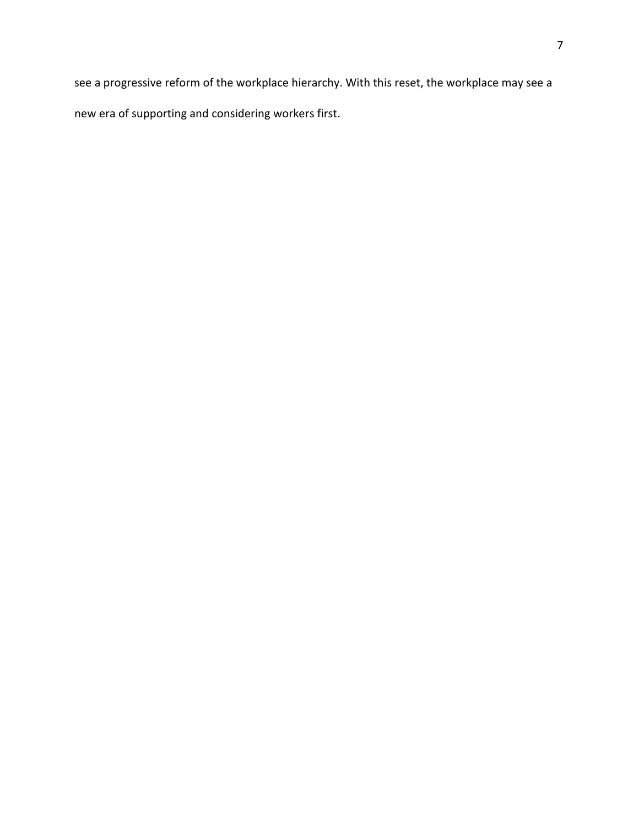see a progressive reform of the workplace hierarchy. With this reset, the workplace may see a new era of supporting and considering workers first.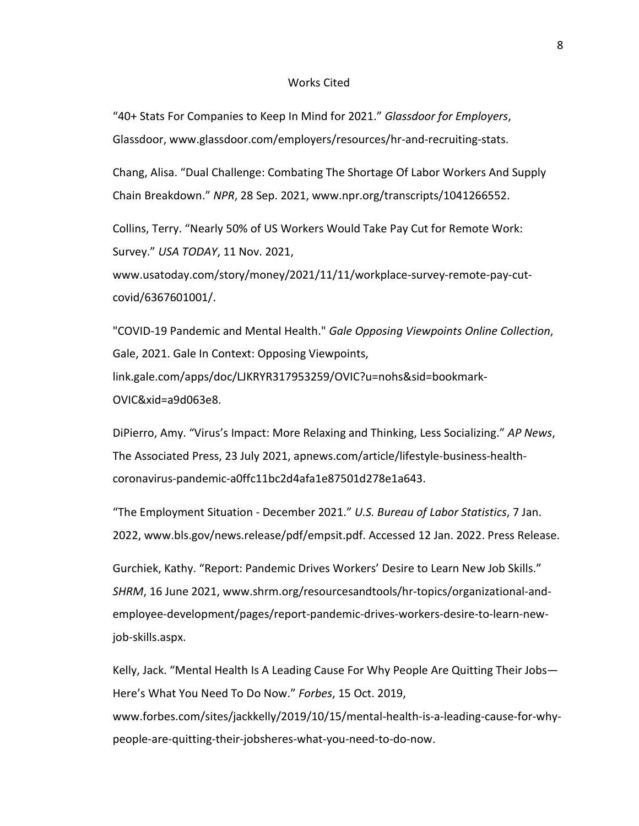#### Works Cited

"40+ Stats For Companies to Keep In Mind for 2021." *Glassdoor for Employers*, Glassdoor, www.glassdoor.com/employers/resources/hr-and-recruiting-stats.

Chang, Alisa. "Dual Challenge: Combating The Shortage Of Labor Workers And Supply Chain Breakdown." *NPR*, 28 Sep. 2021, www.npr.org/transcripts/1041266552.

Collins, Terry. "Nearly 50% of US Workers Would Take Pay Cut for Remote Work: Survey." *USA TODAY*, 11 Nov. 2021,

www.usatoday.com/story/money/2021/11/11/workplace-survey-remote-pay-cutcovid/6367601001/.

"COVID-19 Pandemic and Mental Health." *Gale Opposing Viewpoints Online Collection*, Gale, 2021. Gale In Context: Opposing Viewpoints, link.gale.com/apps/doc/LJKRYR317953259/OVIC?u=nohs&sid=bookmark-OVIC&xid=a9d063e8.

DiPierro, Amy. "Virus's Impact: More Relaxing and Thinking, Less Socializing." *AP News*, The Associated Press, 23 July 2021, apnews.com/article/lifestyle-business-healthcoronavirus-pandemic-a0ffc11bc2d4afa1e87501d278e1a643.

"The Employment Situation - December 2021." *U.S. Bureau of Labor Statistics*, 7 Jan. 2022, www.bls.gov/news.release/pdf/empsit.pdf. Accessed 12 Jan. 2022. Press Release.

Gurchiek, Kathy. "Report: Pandemic Drives Workers' Desire to Learn New Job Skills." *SHRM*, 16 June 2021, www.shrm.org/resourcesandtools/hr-topics/organizational-andemployee-development/pages/report-pandemic-drives-workers-desire-to-learn-newjob-skills.aspx.

Kelly, Jack. "Mental Health Is A Leading Cause For Why People Are Quitting Their Jobs— Here's What You Need To Do Now." *Forbes*, 15 Oct. 2019, www.forbes.com/sites/jackkelly/2019/10/15/mental-health-is-a-leading-cause-for-whypeople-are-quitting-their-jobsheres-what-you-need-to-do-now.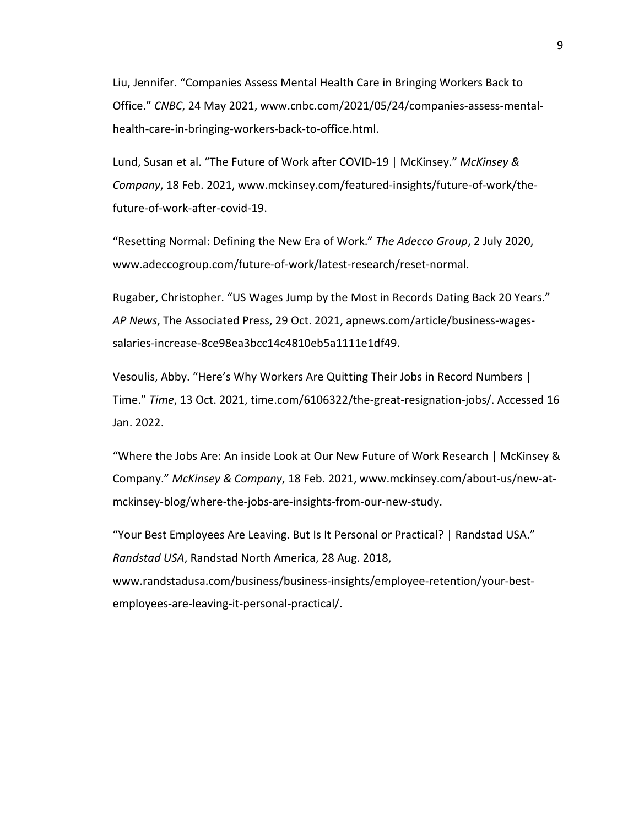Liu, Jennifer. "Companies Assess Mental Health Care in Bringing Workers Back to Office." *CNBC*, 24 May 2021, www.cnbc.com/2021/05/24/companies-assess-mentalhealth-care-in-bringing-workers-back-to-office.html.

Lund, Susan et al. "The Future of Work after COVID-19 | McKinsey." *McKinsey & Company*, 18 Feb. 2021, www.mckinsey.com/featured-insights/future-of-work/thefuture-of-work-after-covid-19.

"Resetting Normal: Defining the New Era of Work." *The Adecco Group*, 2 July 2020, www.adeccogroup.com/future-of-work/latest-research/reset-normal.

Rugaber, Christopher. "US Wages Jump by the Most in Records Dating Back 20 Years." *AP News*, The Associated Press, 29 Oct. 2021, apnews.com/article/business-wagessalaries-increase-8ce98ea3bcc14c4810eb5a1111e1df49.

Vesoulis, Abby. "Here's Why Workers Are Quitting Their Jobs in Record Numbers | Time." *Time*, 13 Oct. 2021, time.com/6106322/the-great-resignation-jobs/. Accessed 16 Jan. 2022.

"Where the Jobs Are: An inside Look at Our New Future of Work Research | McKinsey & Company." *McKinsey & Company*, 18 Feb. 2021, www.mckinsey.com/about-us/new-atmckinsey-blog/where-the-jobs-are-insights-from-our-new-study.

"Your Best Employees Are Leaving. But Is It Personal or Practical? | Randstad USA." *Randstad USA*, Randstad North America, 28 Aug. 2018, www.randstadusa.com/business/business-insights/employee-retention/your-bestemployees-are-leaving-it-personal-practical/.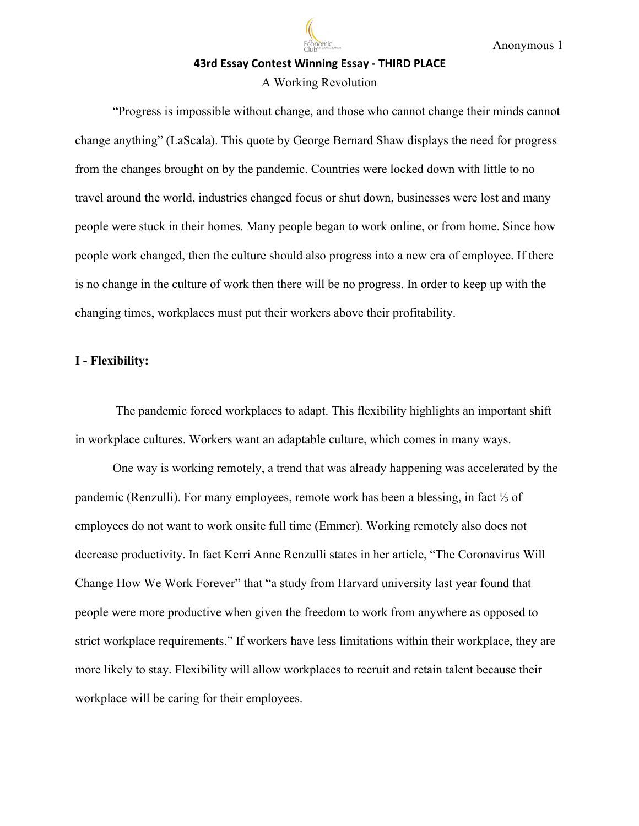# **43rd Essay Contest Winning Essay - THIRD PLACE**

## A Working Revolution

"Progress is impossible without change, and those who cannot change their minds cannot change anything" (LaScala). This quote by George Bernard Shaw displays the need for progress from the changes brought on by the pandemic. Countries were locked down with little to no travel around the world, industries changed focus or shut down, businesses were lost and many people were stuck in their homes. Many people began to work online, or from home. Since how people work changed, then the culture should also progress into a new era of employee. If there is no change in the culture of work then there will be no progress. In order to keep up with the changing times, workplaces must put their workers above their profitability.

## **I - Flexibility:**

The pandemic forced workplaces to adapt. This flexibility highlights an important shift in workplace cultures. Workers want an adaptable culture, which comes in many ways.

One way is working remotely, a trend that was already happening was accelerated by the pandemic (Renzulli). For many employees, remote work has been a blessing, in fact ⅓ of employees do not want to work onsite full time (Emmer). Working remotely also does not decrease productivity. In fact Kerri Anne Renzulli states in her article, "The Coronavirus Will Change How We Work Forever" that "a study from Harvard university last year found that people were more productive when given the freedom to work from anywhere as opposed to strict workplace requirements." If workers have less limitations within their workplace, they are more likely to stay. Flexibility will allow workplaces to recruit and retain talent because their workplace will be caring for their employees.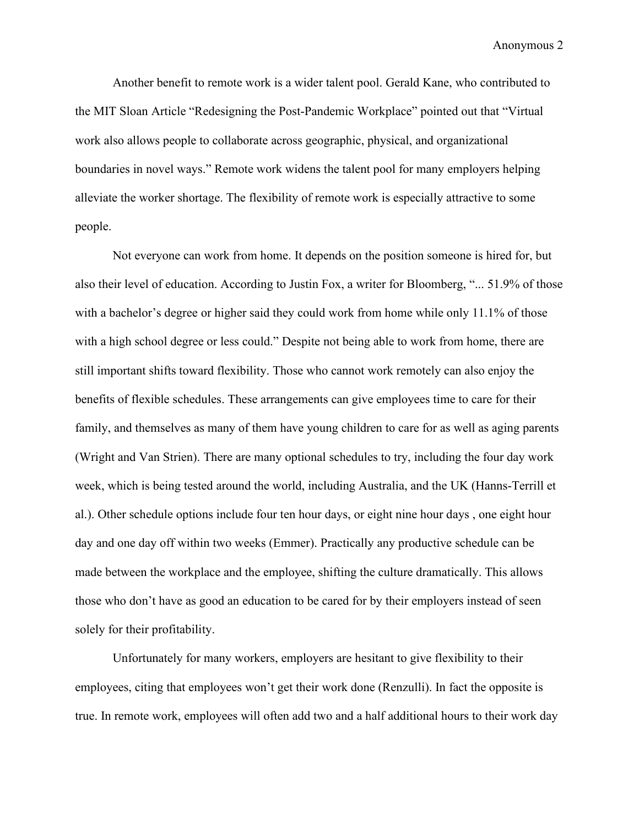Another benefit to remote work is a wider talent pool. Gerald Kane, who contributed to the MIT Sloan Article "Redesigning the Post-Pandemic Workplace" pointed out that "Virtual work also allows people to collaborate across geographic, physical, and organizational boundaries in novel ways." Remote work widens the talent pool for many employers helping alleviate the worker shortage. The flexibility of remote work is especially attractive to some people.

Not everyone can work from home. It depends on the position someone is hired for, but also their level of education. According to Justin Fox, a writer for Bloomberg, "... 51.9% of those with a bachelor's degree or higher said they could work from home while only 11.1% of those with a high school degree or less could." Despite not being able to work from home, there are still important shifts toward flexibility. Those who cannot work remotely can also enjoy the benefits of flexible schedules. These arrangements can give employees time to care for their family, and themselves as many of them have young children to care for as well as aging parents (Wright and Van Strien). There are many optional schedules to try, including the four day work week, which is being tested around the world, including Australia, and the UK (Hanns-Terrill et al.). Other schedule options include four ten hour days, or eight nine hour days , one eight hour day and one day off within two weeks (Emmer). Practically any productive schedule can be made between the workplace and the employee, shifting the culture dramatically. This allows those who don't have as good an education to be cared for by their employers instead of seen solely for their profitability.

Unfortunately for many workers, employers are hesitant to give flexibility to their employees, citing that employees won't get their work done (Renzulli). In fact the opposite is true. In remote work, employees will often add two and a half additional hours to their work day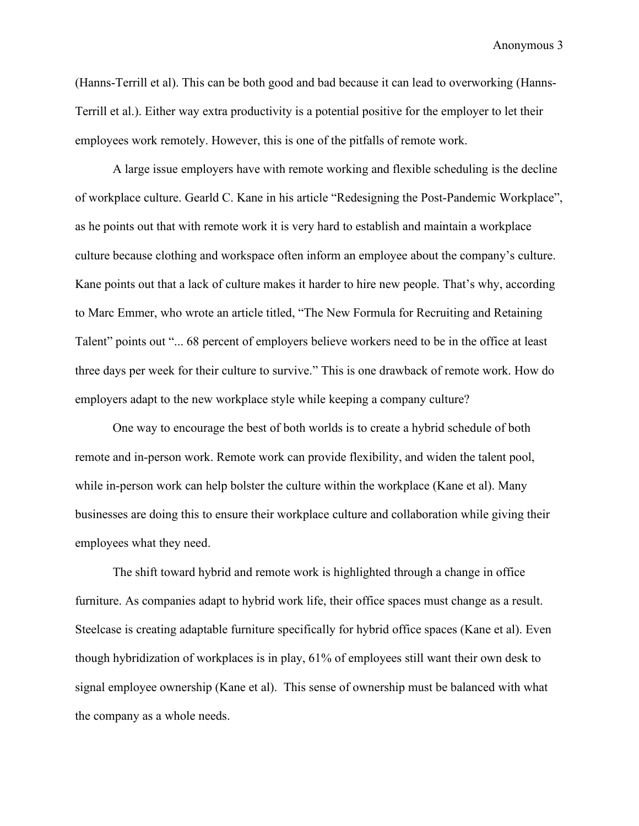(Hanns-Terrill et al). This can be both good and bad because it can lead to overworking (Hanns-Terrill et al.). Either way extra productivity is a potential positive for the employer to let their employees work remotely. However, this is one of the pitfalls of remote work.

A large issue employers have with remote working and flexible scheduling is the decline of workplace culture. Gearld C. Kane in his article "Redesigning the Post-Pandemic Workplace", as he points out that with remote work it is very hard to establish and maintain a workplace culture because clothing and workspace often inform an employee about the company's culture. Kane points out that a lack of culture makes it harder to hire new people. That's why, according to Marc Emmer, who wrote an article titled, "The New Formula for Recruiting and Retaining Talent" points out "... 68 percent of employers believe workers need to be in the office at least three days per week for their culture to survive." This is one drawback of remote work. How do employers adapt to the new workplace style while keeping a company culture?

One way to encourage the best of both worlds is to create a hybrid schedule of both remote and in-person work. Remote work can provide flexibility, and widen the talent pool, while in-person work can help bolster the culture within the workplace (Kane et al). Many businesses are doing this to ensure their workplace culture and collaboration while giving their employees what they need.

The shift toward hybrid and remote work is highlighted through a change in office furniture. As companies adapt to hybrid work life, their office spaces must change as a result. Steelcase is creating adaptable furniture specifically for hybrid office spaces (Kane et al). Even though hybridization of workplaces is in play, 61% of employees still want their own desk to signal employee ownership (Kane et al). This sense of ownership must be balanced with what the company as a whole needs.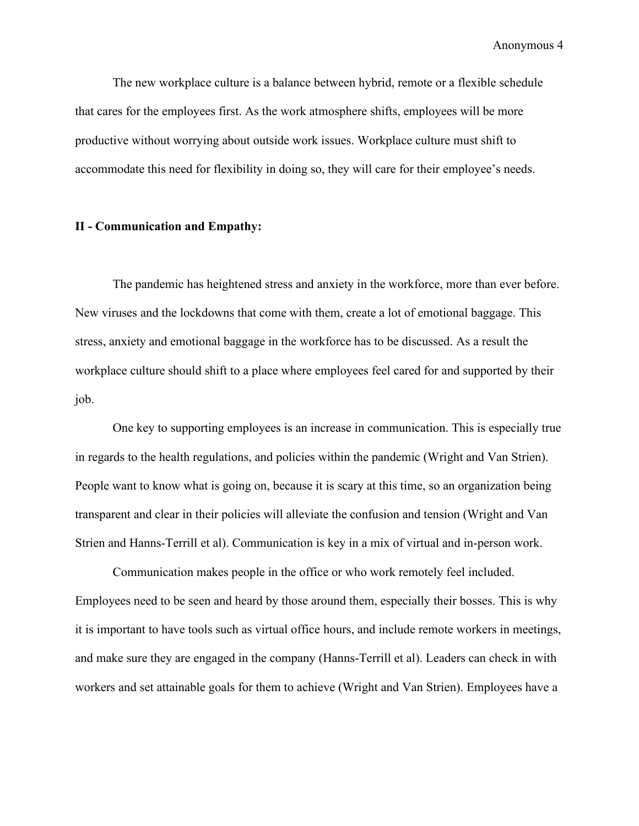The new workplace culture is a balance between hybrid, remote or a flexible schedule that cares for the employees first. As the work atmosphere shifts, employees will be more productive without worrying about outside work issues. Workplace culture must shift to accommodate this need for flexibility in doing so, they will care for their employee's needs.

## **II - Communication and Empathy:**

The pandemic has heightened stress and anxiety in the workforce, more than ever before. New viruses and the lockdowns that come with them, create a lot of emotional baggage. This stress, anxiety and emotional baggage in the workforce has to be discussed. As a result the workplace culture should shift to a place where employees feel cared for and supported by their job.

One key to supporting employees is an increase in communication. This is especially true in regards to the health regulations, and policies within the pandemic (Wright and Van Strien). People want to know what is going on, because it is scary at this time, so an organization being transparent and clear in their policies will alleviate the confusion and tension (Wright and Van Strien and Hanns-Terrill et al). Communication is key in a mix of virtual and in-person work.

Communication makes people in the office or who work remotely feel included. Employees need to be seen and heard by those around them, especially their bosses. This is why it is important to have tools such as virtual office hours, and include remote workers in meetings, and make sure they are engaged in the company (Hanns-Terrill et al). Leaders can check in with workers and set attainable goals for them to achieve (Wright and Van Strien). Employees have a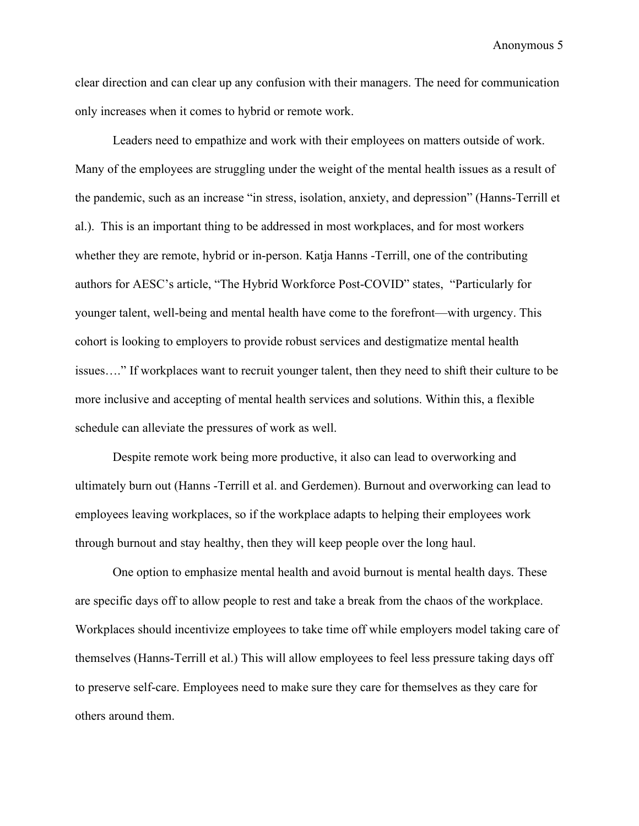clear direction and can clear up any confusion with their managers. The need for communication only increases when it comes to hybrid or remote work.

Leaders need to empathize and work with their employees on matters outside of work. Many of the employees are struggling under the weight of the mental health issues as a result of the pandemic, such as an increase "in stress, isolation, anxiety, and depression" (Hanns-Terrill et al.). This is an important thing to be addressed in most workplaces, and for most workers whether they are remote, hybrid or in-person. Katja Hanns -Terrill, one of the contributing authors for AESC's article, "The Hybrid Workforce Post-COVID" states, "Particularly for younger talent, well-being and mental health have come to the forefront—with urgency. This cohort is looking to employers to provide robust services and destigmatize mental health issues…." If workplaces want to recruit younger talent, then they need to shift their culture to be more inclusive and accepting of mental health services and solutions. Within this, a flexible schedule can alleviate the pressures of work as well.

Despite remote work being more productive, it also can lead to overworking and ultimately burn out (Hanns -Terrill et al. and Gerdemen). Burnout and overworking can lead to employees leaving workplaces, so if the workplace adapts to helping their employees work through burnout and stay healthy, then they will keep people over the long haul.

One option to emphasize mental health and avoid burnout is mental health days. These are specific days off to allow people to rest and take a break from the chaos of the workplace. Workplaces should incentivize employees to take time off while employers model taking care of themselves (Hanns-Terrill et al.) This will allow employees to feel less pressure taking days off to preserve self-care. Employees need to make sure they care for themselves as they care for others around them.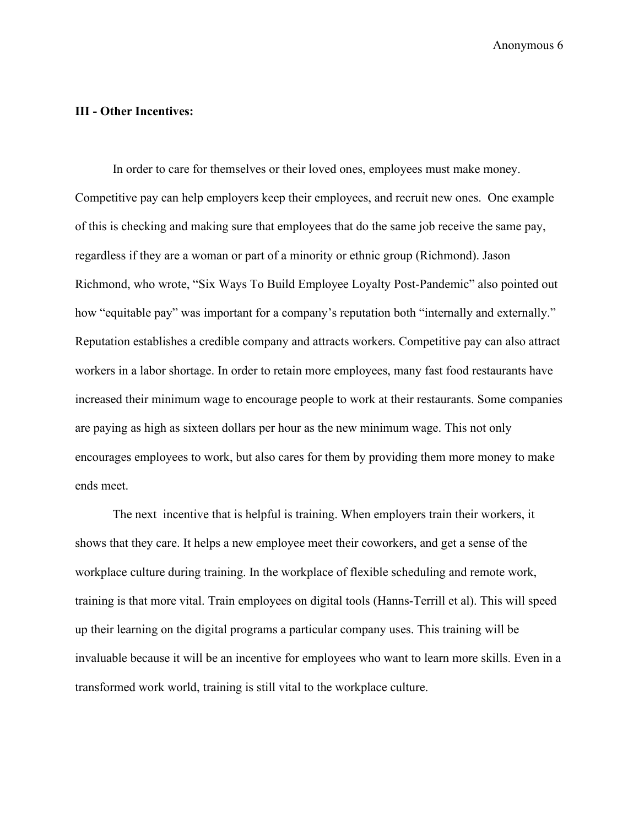## **III - Other Incentives:**

In order to care for themselves or their loved ones, employees must make money. Competitive pay can help employers keep their employees, and recruit new ones. One example of this is checking and making sure that employees that do the same job receive the same pay, regardless if they are a woman or part of a minority or ethnic group (Richmond). Jason Richmond, who wrote, "Six Ways To Build Employee Loyalty Post-Pandemic" also pointed out how "equitable pay" was important for a company's reputation both "internally and externally." Reputation establishes a credible company and attracts workers. Competitive pay can also attract workers in a labor shortage. In order to retain more employees, many fast food restaurants have increased their minimum wage to encourage people to work at their restaurants. Some companies are paying as high as sixteen dollars per hour as the new minimum wage. This not only encourages employees to work, but also cares for them by providing them more money to make ends meet.

The next incentive that is helpful is training. When employers train their workers, it shows that they care. It helps a new employee meet their coworkers, and get a sense of the workplace culture during training. In the workplace of flexible scheduling and remote work, training is that more vital. Train employees on digital tools (Hanns-Terrill et al). This will speed up their learning on the digital programs a particular company uses. This training will be invaluable because it will be an incentive for employees who want to learn more skills. Even in a transformed work world, training is still vital to the workplace culture.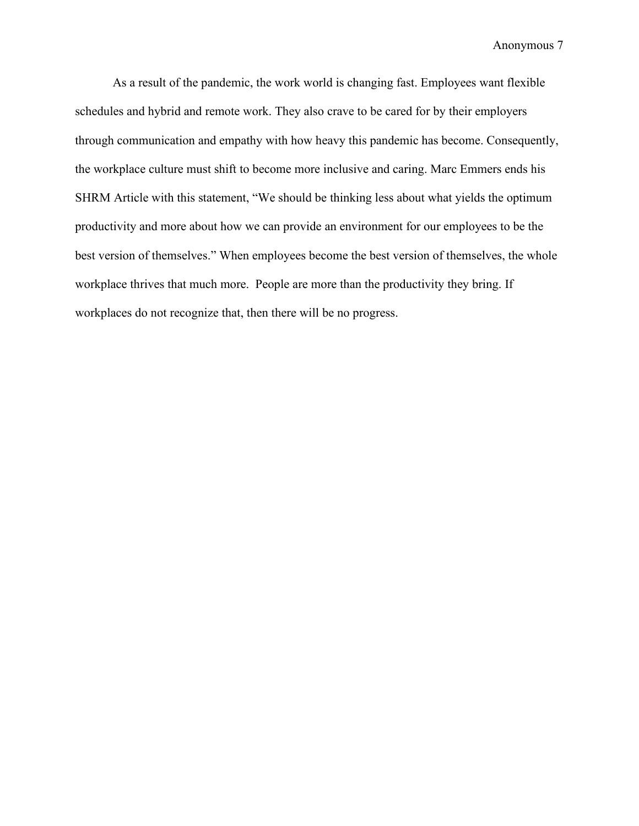As a result of the pandemic, the work world is changing fast. Employees want flexible schedules and hybrid and remote work. They also crave to be cared for by their employers through communication and empathy with how heavy this pandemic has become. Consequently, the workplace culture must shift to become more inclusive and caring. Marc Emmers ends his SHRM Article with this statement, "We should be thinking less about what yields the optimum productivity and more about how we can provide an environment for our employees to be the best version of themselves." When employees become the best version of themselves, the whole workplace thrives that much more. People are more than the productivity they bring. If workplaces do not recognize that, then there will be no progress.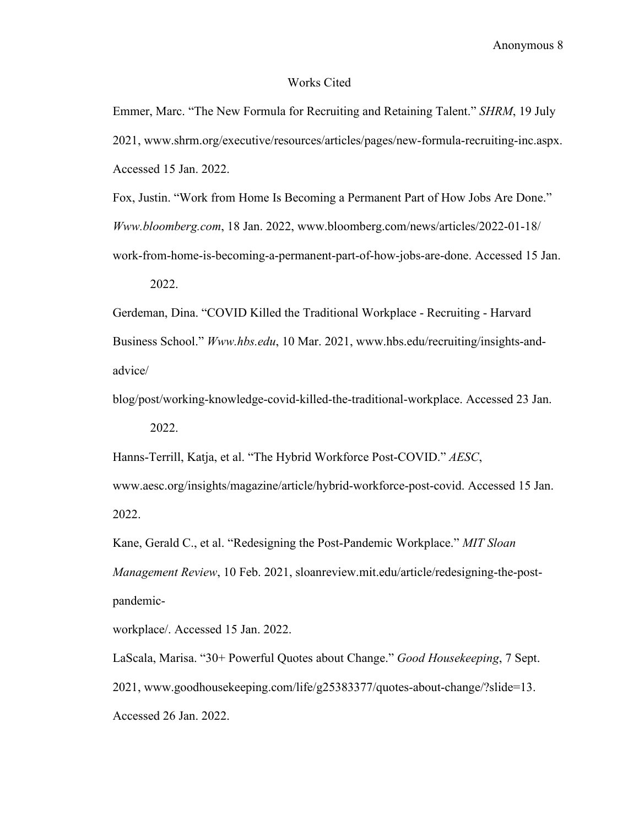#### Works Cited

Emmer, Marc. "The New Formula for Recruiting and Retaining Talent." *SHRM*, 19 July 2021, www.shrm.org/executive/resources/articles/pages/new-formula-recruiting-inc.aspx. Accessed 15 Jan. 2022.

Fox, Justin. "Work from Home Is Becoming a Permanent Part of How Jobs Are Done." *Www.bloomberg.com*, 18 Jan. 2022, www.bloomberg.com/news/articles/2022-01-18/ work-from-home-is-becoming-a-permanent-part-of-how-jobs-are-done. Accessed 15 Jan.

2022.

Gerdeman, Dina. "COVID Killed the Traditional Workplace - Recruiting - Harvard Business School." *Www.hbs.edu*, 10 Mar. 2021, www.hbs.edu/recruiting/insights-andadvice/

blog/post/working-knowledge-covid-killed-the-traditional-workplace. Accessed 23 Jan.

2022.

Hanns-Terrill, Katja, et al. "The Hybrid Workforce Post-COVID." *AESC*,

www.aesc.org/insights/magazine/article/hybrid-workforce-post-covid. Accessed 15 Jan. 2022.

Kane, Gerald C., et al. "Redesigning the Post-Pandemic Workplace." *MIT Sloan Management Review*, 10 Feb. 2021, sloanreview.mit.edu/article/redesigning-the-postpandemic-

workplace/. Accessed 15 Jan. 2022.

LaScala, Marisa. "30+ Powerful Quotes about Change." *Good Housekeeping*, 7 Sept. 2021, www.goodhousekeeping.com/life/g25383377/quotes-about-change/?slide=13. Accessed 26 Jan. 2022.